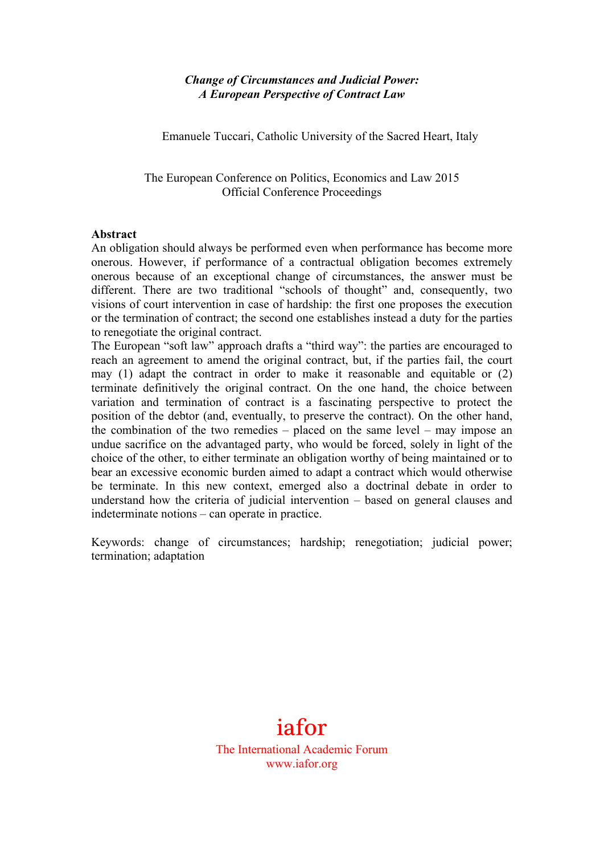## *Change of Circumstances and Judicial Power: A European Perspective of Contract Law*

Emanuele Tuccari, Catholic University of the Sacred Heart, Italy

The European Conference on Politics, Economics and Law 2015 Official Conference Proceedings

#### **Abstract**

An obligation should always be performed even when performance has become more onerous. However, if performance of a contractual obligation becomes extremely onerous because of an exceptional change of circumstances, the answer must be different. There are two traditional "schools of thought" and, consequently, two visions of court intervention in case of hardship: the first one proposes the execution or the termination of contract; the second one establishes instead a duty for the parties to renegotiate the original contract.

The European "soft law" approach drafts a "third way": the parties are encouraged to reach an agreement to amend the original contract, but, if the parties fail, the court may (1) adapt the contract in order to make it reasonable and equitable or (2) terminate definitively the original contract. On the one hand, the choice between variation and termination of contract is a fascinating perspective to protect the position of the debtor (and, eventually, to preserve the contract). On the other hand, the combination of the two remedies – placed on the same level – may impose an undue sacrifice on the advantaged party, who would be forced, solely in light of the choice of the other, to either terminate an obligation worthy of being maintained or to bear an excessive economic burden aimed to adapt a contract which would otherwise be terminate. In this new context, emerged also a doctrinal debate in order to understand how the criteria of judicial intervention – based on general clauses and indeterminate notions – can operate in practice.

Keywords: change of circumstances; hardship; renegotiation; judicial power; termination; adaptation

# iafor The International Academic Forum www.iafor.org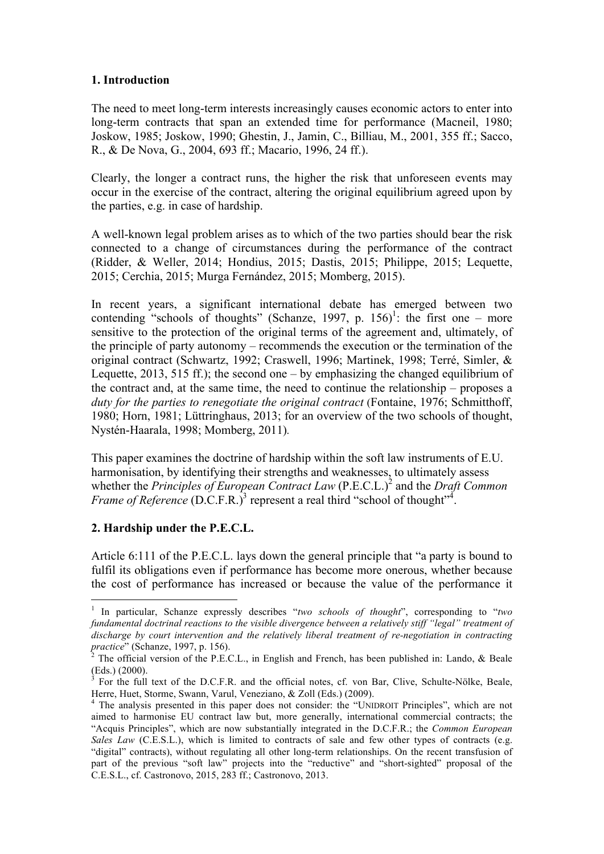## **1. Introduction**

The need to meet long-term interests increasingly causes economic actors to enter into long-term contracts that span an extended time for performance (Macneil, 1980; Joskow, 1985; Joskow, 1990; Ghestin, J., Jamin, C., Billiau, M., 2001, 355 ff.; Sacco, R., & De Nova, G., 2004, 693 ff.; Macario, 1996, 24 ff.).

Clearly, the longer a contract runs, the higher the risk that unforeseen events may occur in the exercise of the contract, altering the original equilibrium agreed upon by the parties, e.g. in case of hardship.

A well-known legal problem arises as to which of the two parties should bear the risk connected to a change of circumstances during the performance of the contract (Ridder, & Weller, 2014; Hondius, 2015; Dastis, 2015; Philippe, 2015; Lequette, 2015; Cerchia, 2015; Murga Fernández, 2015; Momberg, 2015).

In recent years, a significant international debate has emerged between two contending "schools of thoughts" (Schanze, 1997, p. 156)<sup>1</sup>: the first one – more sensitive to the protection of the original terms of the agreement and, ultimately, of the principle of party autonomy – recommends the execution or the termination of the original contract (Schwartz, 1992; Craswell, 1996; Martinek, 1998; Terré, Simler, & Lequette, 2013, 515 ff.); the second one – by emphasizing the changed equilibrium of the contract and, at the same time, the need to continue the relationship – proposes a *duty for the parties to renegotiate the original contract* (Fontaine, 1976; Schmitthoff, 1980; Horn, 1981; Lüttringhaus, 2013; for an overview of the two schools of thought, Nystén-Haarala, 1998; Momberg, 2011)*.*

This paper examines the doctrine of hardship within the soft law instruments of E.U. harmonisation, by identifying their strengths and weaknesses, to ultimately assess whether the *Principles of European Contract Law* (P.E.C.L.) <sup>2</sup> and the *Draft Common Frame of Reference*  $(D.C.F.R.)^3$  represent a real third "school of thought"<sup>4</sup>.

# **2. Hardship under the P.E.C.L.**

<u> Andrew Maria (1989)</u>

Article 6:111 of the P.E.C.L. lays down the general principle that "a party is bound to fulfil its obligations even if performance has become more onerous, whether because the cost of performance has increased or because the value of the performance it

<sup>1</sup> In particular, Schanze expressly describes "*two schools of thought*", corresponding to "*two fundamental doctrinal reactions to the visible divergence between a relatively stiff "legal" treatment of discharge by court intervention and the relatively liberal treatment of re-negotiation in contracting practice*" (Schanze, 1997, p. 156).

The official version of the P.E.C.L., in English and French, has been published in: Lando, & Beale (Eds.) (2000).

 $3$  For the full text of the D.C.F.R. and the official notes, cf. von Bar, Clive, Schulte-Nölke, Beale, Herre, Huet, Storme, Swann, Varul, Veneziano, & Zoll (Eds.) (2009).

<sup>&</sup>lt;sup>4</sup> The analysis presented in this paper does not consider: the "UNIDROIT Principles", which are not aimed to harmonise EU contract law but, more generally, international commercial contracts; the "Acquis Principles", which are now substantially integrated in the D.C.F.R.; the *Common European Sales Law* (C.E.S.L.), which is limited to contracts of sale and few other types of contracts (e.g. "digital" contracts), without regulating all other long-term relationships. On the recent transfusion of part of the previous "soft law" projects into the "reductive" and "short-sighted" proposal of the C.E.S.L., cf. Castronovo, 2015, 283 ff.; Castronovo, 2013.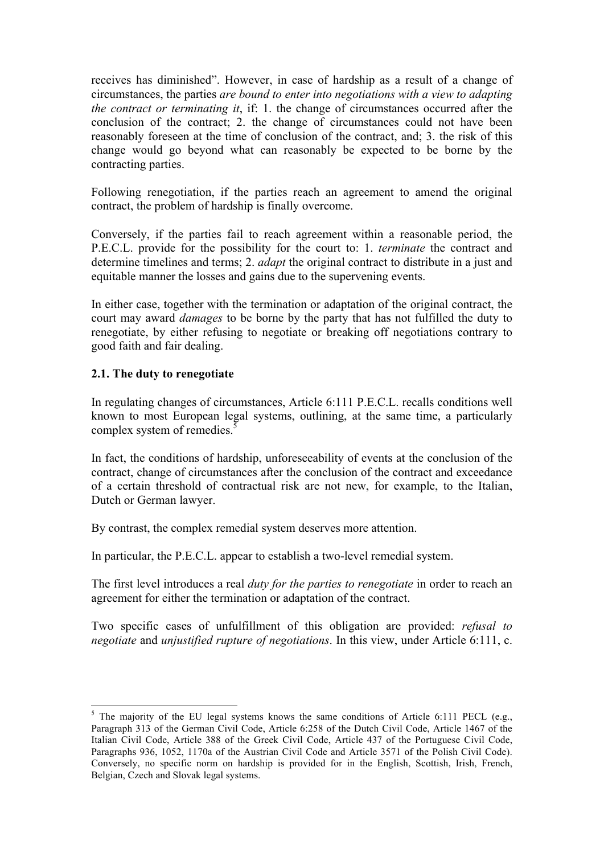receives has diminished". However, in case of hardship as a result of a change of circumstances, the parties *are bound to enter into negotiations with a view to adapting the contract or terminating it*, if: 1. the change of circumstances occurred after the conclusion of the contract; 2. the change of circumstances could not have been reasonably foreseen at the time of conclusion of the contract, and; 3. the risk of this change would go beyond what can reasonably be expected to be borne by the contracting parties.

Following renegotiation, if the parties reach an agreement to amend the original contract, the problem of hardship is finally overcome.

Conversely, if the parties fail to reach agreement within a reasonable period, the P.E.C.L. provide for the possibility for the court to: 1. *terminate* the contract and determine timelines and terms; 2. *adapt* the original contract to distribute in a just and equitable manner the losses and gains due to the supervening events.

In either case, together with the termination or adaptation of the original contract, the court may award *damages* to be borne by the party that has not fulfilled the duty to renegotiate, by either refusing to negotiate or breaking off negotiations contrary to good faith and fair dealing.

# **2.1. The duty to renegotiate**

<u> Andrew Maria (1989)</u>

In regulating changes of circumstances, Article 6:111 P.E.C.L. recalls conditions well known to most European legal systems, outlining, at the same time, a particularly complex system of remedies.<sup>5</sup>

In fact, the conditions of hardship, unforeseeability of events at the conclusion of the contract, change of circumstances after the conclusion of the contract and exceedance of a certain threshold of contractual risk are not new, for example, to the Italian, Dutch or German lawyer.

By contrast, the complex remedial system deserves more attention.

In particular, the P.E.C.L. appear to establish a two-level remedial system.

The first level introduces a real *duty for the parties to renegotiate* in order to reach an agreement for either the termination or adaptation of the contract.

Two specific cases of unfulfillment of this obligation are provided: *refusal to negotiate* and *unjustified rupture of negotiations*. In this view, under Article 6:111, c.

<sup>&</sup>lt;sup>5</sup> The majority of the EU legal systems knows the same conditions of Article 6:111 PECL (e.g., Paragraph 313 of the German Civil Code, Article 6:258 of the Dutch Civil Code, Article 1467 of the Italian Civil Code, Article 388 of the Greek Civil Code, Article 437 of the Portuguese Civil Code, Paragraphs 936, 1052, 1170a of the Austrian Civil Code and Article 3571 of the Polish Civil Code). Conversely, no specific norm on hardship is provided for in the English, Scottish, Irish, French, Belgian, Czech and Slovak legal systems.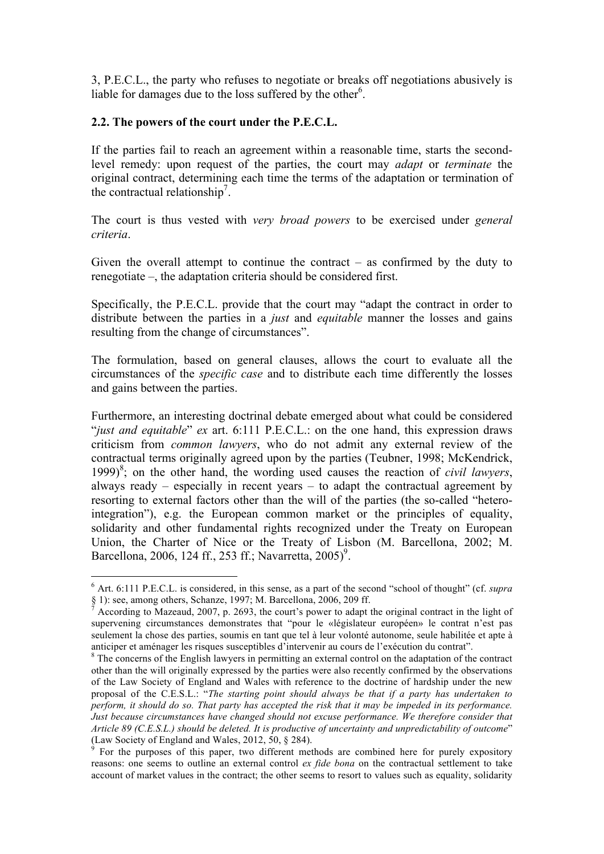3, P.E.C.L., the party who refuses to negotiate or breaks off negotiations abusively is liable for damages due to the loss suffered by the other<sup>6</sup>.

#### **2.2. The powers of the court under the P.E.C.L.**

 

If the parties fail to reach an agreement within a reasonable time, starts the secondlevel remedy: upon request of the parties, the court may *adapt* or *terminate* the original contract, determining each time the terms of the adaptation or termination of the contractual relationship<sup>7</sup>.

The court is thus vested with *very broad powers* to be exercised under *general criteria*.

Given the overall attempt to continue the contract – as confirmed by the duty to renegotiate –, the adaptation criteria should be considered first.

Specifically, the P.E.C.L. provide that the court may "adapt the contract in order to distribute between the parties in a *just* and *equitable* manner the losses and gains resulting from the change of circumstances".

The formulation, based on general clauses, allows the court to evaluate all the circumstances of the *specific case* and to distribute each time differently the losses and gains between the parties.

Furthermore, an interesting doctrinal debate emerged about what could be considered "*just and equitable*" *ex* art. 6:111 P.E.C.L.: on the one hand, this expression draws criticism from *common lawyers*, who do not admit any external review of the contractual terms originally agreed upon by the parties (Teubner, 1998; McKendrick, 1999) 8 ; on the other hand, the wording used causes the reaction of *civil lawyers*, always ready – especially in recent years – to adapt the contractual agreement by resorting to external factors other than the will of the parties (the so-called "heterointegration"), e.g. the European common market or the principles of equality, solidarity and other fundamental rights recognized under the Treaty on European Union, the Charter of Nice or the Treaty of Lisbon (M. Barcellona, 2002; M. Barcellona, 2006, 124 ff., 253 ff.; Navarretta, 2005)<sup>9</sup>.

<sup>&</sup>lt;sup>6</sup> Art. 6:111 P.E.C.L. is considered, in this sense, as a part of the second "school of thought" (cf. *supra*  $\frac{8}{7}$  1): see, among others, Schanze, 1997; M. Barcellona, 2006, 209 ff.

According to Mazeaud, 2007, p. 2693, the court's power to adapt the original contract in the light of supervening circumstances demonstrates that "pour le «législateur européen» le contrat n'est pas seulement la chose des parties, soumis en tant que tel à leur volonté autonome, seule habilitée et apte à anticiper et aménager les risques susceptibles d'intervenir au cours de l'exécution du contrat". <sup>8</sup> The concerns of the English lawyers in permitting an external control on the adaptation of the contract

other than the will originally expressed by the parties were also recently confirmed by the observations of the Law Society of England and Wales with reference to the doctrine of hardship under the new proposal of the C.E.S.L.: "*The starting point should always be that if a party has undertaken to perform, it should do so. That party has accepted the risk that it may be impeded in its performance. Just because circumstances have changed should not excuse performance. We therefore consider that Article 89 (C.E.S.L.) should be deleted. It is productive of uncertainty and unpredictability of outcome*"

For the purposes of this paper, two different methods are combined here for purely expository reasons: one seems to outline an external control *ex fide bona* on the contractual settlement to take account of market values in the contract; the other seems to resort to values such as equality, solidarity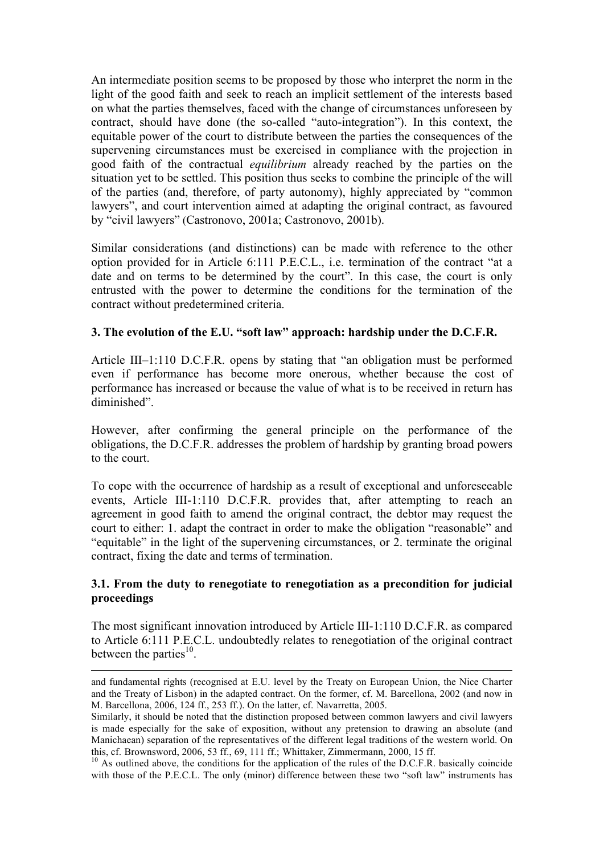An intermediate position seems to be proposed by those who interpret the norm in the light of the good faith and seek to reach an implicit settlement of the interests based on what the parties themselves, faced with the change of circumstances unforeseen by contract, should have done (the so-called "auto-integration"). In this context, the equitable power of the court to distribute between the parties the consequences of the supervening circumstances must be exercised in compliance with the projection in good faith of the contractual *equilibrium* already reached by the parties on the situation yet to be settled. This position thus seeks to combine the principle of the will of the parties (and, therefore, of party autonomy), highly appreciated by "common lawyers", and court intervention aimed at adapting the original contract, as favoured by "civil lawyers" (Castronovo, 2001a; Castronovo, 2001b).

Similar considerations (and distinctions) can be made with reference to the other option provided for in Article 6:111 P.E.C.L., i.e. termination of the contract "at a date and on terms to be determined by the court". In this case, the court is only entrusted with the power to determine the conditions for the termination of the contract without predetermined criteria.

## **3. The evolution of the E.U. "soft law" approach: hardship under the D.C.F.R.**

Article III–1:110 D.C.F.R. opens by stating that "an obligation must be performed even if performance has become more onerous, whether because the cost of performance has increased or because the value of what is to be received in return has diminished".

However, after confirming the general principle on the performance of the obligations, the D.C.F.R. addresses the problem of hardship by granting broad powers to the court.

To cope with the occurrence of hardship as a result of exceptional and unforeseeable events, Article III-1:110 D.C.F.R. provides that, after attempting to reach an agreement in good faith to amend the original contract, the debtor may request the court to either: 1. adapt the contract in order to make the obligation "reasonable" and "equitable" in the light of the supervening circumstances, or 2. terminate the original contract, fixing the date and terms of termination.

# **3.1. From the duty to renegotiate to renegotiation as a precondition for judicial proceedings**

The most significant innovation introduced by Article III-1:110 D.C.F.R. as compared to Article 6:111 P.E.C.L. undoubtedly relates to renegotiation of the original contract between the parties $^{10}$ .

 

and fundamental rights (recognised at E.U. level by the Treaty on European Union, the Nice Charter and the Treaty of Lisbon) in the adapted contract. On the former, cf. M. Barcellona, 2002 (and now in M. Barcellona, 2006, 124 ff., 253 ff.). On the latter, cf. Navarretta, 2005.

Similarly, it should be noted that the distinction proposed between common lawyers and civil lawyers is made especially for the sake of exposition, without any pretension to drawing an absolute (and Manichaean) separation of the representatives of the different legal traditions of the western world. On this, cf. Brownsword, 2006, 53 ff., 69, 111 ff.; Whittaker, Zimmermann, 2000, 15 ff.

<sup>&</sup>lt;sup>10</sup> As outlined above, the conditions for the application of the rules of the D.C.F.R. basically coincide with those of the P.E.C.L. The only (minor) difference between these two "soft law" instruments has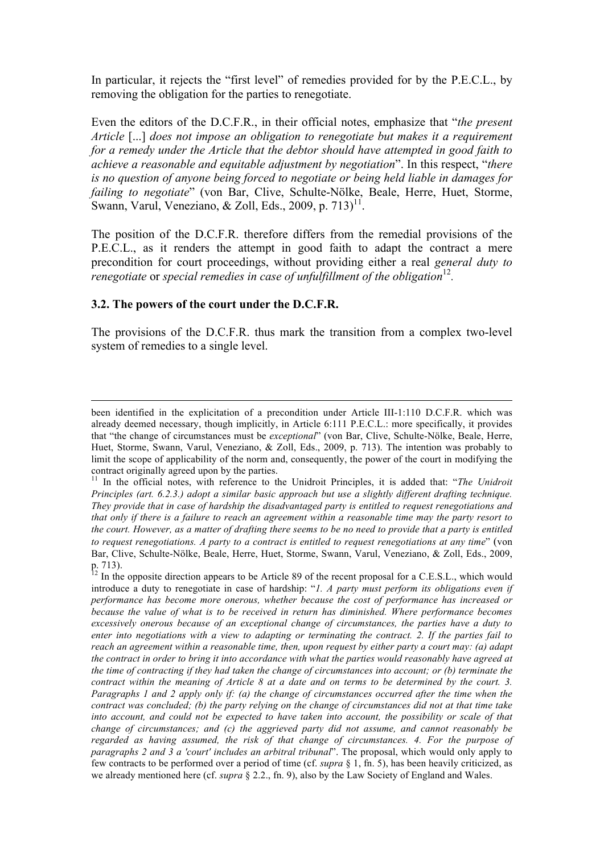In particular, it rejects the "first level" of remedies provided for by the P.E.C.L., by removing the obligation for the parties to renegotiate.

Even the editors of the D.C.F.R., in their official notes, emphasize that "*the present Article* [...] *does not impose an obligation to renegotiate but makes it a requirement for a remedy under the Article that the debtor should have attempted in good faith to achieve a reasonable and equitable adjustment by negotiation*". In this respect, "*there is no question of anyone being forced to negotiate or being held liable in damages for failing to negotiate*" (von Bar, Clive, Schulte-Nölke, Beale, Herre, Huet, Storme, Swann, Varul, Veneziano, & Zoll, Eds., 2009, p.  $713$ <sup>11</sup>.

The position of the D.C.F.R. therefore differs from the remedial provisions of the P.E.C.L., as it renders the attempt in good faith to adapt the contract a mere precondition for court proceedings, without providing either a real *general duty to renegotiate* or *special remedies in case of unfulfillment of the obligation*<sup>12</sup>.

#### **3.2. The powers of the court under the D.C.F.R.**

The provisions of the D.C.F.R. thus mark the transition from a complex two-level system of remedies to a single level.

<u> 1989 - Johann Barbert Barbert Barbert Barbert Barbert Barbert Barbert Barbert Barbert Barbert Barbert Barbert</u>

been identified in the explicitation of a precondition under Article III-1:110 D.C.F.R. which was already deemed necessary, though implicitly, in Article 6:111 P.E.C.L.: more specifically, it provides that "the change of circumstances must be *exceptional*" (von Bar, Clive, Schulte-Nölke, Beale, Herre, Huet, Storme, Swann, Varul, Veneziano, & Zoll, Eds., 2009, p. 713). The intention was probably to limit the scope of applicability of the norm and, consequently, the power of the court in modifying the

contract originally agreed upon by the parties.<br><sup>11</sup> In the official notes, with reference to the Unidroit Principles, it is added that: "*The Unidroit Principles (art. 6.2.3.) adopt a similar basic approach but use a slightly different drafting technique. They provide that in case of hardship the disadvantaged party is entitled to request renegotiations and that only if there is a failure to reach an agreement within a reasonable time may the party resort to the court. However, as a matter of drafting there seems to be no need to provide that a party is entitled to request renegotiations. A party to a contract is entitled to request renegotiations at any time*" (von Bar, Clive, Schulte-Nölke, Beale, Herre, Huet, Storme, Swann, Varul, Veneziano, & Zoll, Eds., 2009, p. 713).<br><sup>12</sup> In the opposite direction appears to be Article 89 of the recent proposal for a C.E.S.L., which would

introduce a duty to renegotiate in case of hardship: "*1. A party must perform its obligations even if performance has become more onerous, whether because the cost of performance has increased or because the value of what is to be received in return has diminished. Where performance becomes excessively onerous because of an exceptional change of circumstances, the parties have a duty to enter into negotiations with a view to adapting or terminating the contract. 2. If the parties fail to reach an agreement within a reasonable time, then, upon request by either party a court may: (a) adapt the contract in order to bring it into accordance with what the parties would reasonably have agreed at the time of contracting if they had taken the change of circumstances into account; or (b) terminate the contract within the meaning of Article 8 at a date and on terms to be determined by the court. 3. Paragraphs 1 and 2 apply only if: (a) the change of circumstances occurred after the time when the contract was concluded; (b) the party relying on the change of circumstances did not at that time take into account, and could not be expected to have taken into account, the possibility or scale of that change of circumstances; and (c) the aggrieved party did not assume, and cannot reasonably be regarded as having assumed, the risk of that change of circumstances. 4. For the purpose of paragraphs 2 and 3 a 'court' includes an arbitral tribunal*". The proposal, which would only apply to few contracts to be performed over a period of time (cf. *supra* § 1, fn. 5), has been heavily criticized, as we already mentioned here (cf. *supra* § 2.2., fn. 9), also by the Law Society of England and Wales.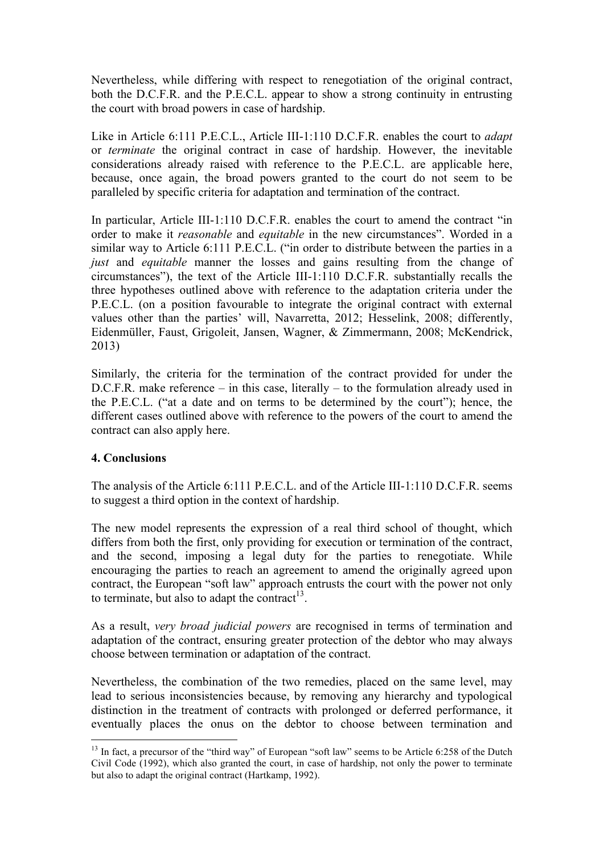Nevertheless, while differing with respect to renegotiation of the original contract, both the D.C.F.R. and the P.E.C.L. appear to show a strong continuity in entrusting the court with broad powers in case of hardship.

Like in Article 6:111 P.E.C.L., Article III-1:110 D.C.F.R. enables the court to *adapt* or *terminate* the original contract in case of hardship. However, the inevitable considerations already raised with reference to the P.E.C.L. are applicable here, because, once again, the broad powers granted to the court do not seem to be paralleled by specific criteria for adaptation and termination of the contract.

In particular, Article III-1:110 D.C.F.R. enables the court to amend the contract "in order to make it *reasonable* and *equitable* in the new circumstances". Worded in a similar way to Article 6:111 P.E.C.L. ("in order to distribute between the parties in a *just* and *equitable* manner the losses and gains resulting from the change of circumstances"), the text of the Article III-1:110 D.C.F.R. substantially recalls the three hypotheses outlined above with reference to the adaptation criteria under the P.E.C.L. (on a position favourable to integrate the original contract with external values other than the parties' will, Navarretta, 2012; Hesselink, 2008; differently, Eidenmüller, Faust, Grigoleit, Jansen, Wagner, & Zimmermann, 2008; McKendrick, 2013)

Similarly, the criteria for the termination of the contract provided for under the D.C.F.R. make reference – in this case, literally – to the formulation already used in the P.E.C.L. ("at a date and on terms to be determined by the court"); hence, the different cases outlined above with reference to the powers of the court to amend the contract can also apply here.

# **4. Conclusions**

<u> Andrew Maria (1989)</u>

The analysis of the Article 6:111 P.E.C.L. and of the Article III-1:110 D.C.F.R. seems to suggest a third option in the context of hardship.

The new model represents the expression of a real third school of thought, which differs from both the first, only providing for execution or termination of the contract, and the second, imposing a legal duty for the parties to renegotiate. While encouraging the parties to reach an agreement to amend the originally agreed upon contract, the European "soft law" approach entrusts the court with the power not only to terminate, but also to adapt the contract<sup>13</sup>.

As a result, *very broad judicial powers* are recognised in terms of termination and adaptation of the contract, ensuring greater protection of the debtor who may always choose between termination or adaptation of the contract.

Nevertheless, the combination of the two remedies, placed on the same level, may lead to serious inconsistencies because, by removing any hierarchy and typological distinction in the treatment of contracts with prolonged or deferred performance, it eventually places the onus on the debtor to choose between termination and

<sup>&</sup>lt;sup>13</sup> In fact, a precursor of the "third way" of European "soft law" seems to be Article 6:258 of the Dutch Civil Code (1992), which also granted the court, in case of hardship, not only the power to terminate but also to adapt the original contract (Hartkamp, 1992).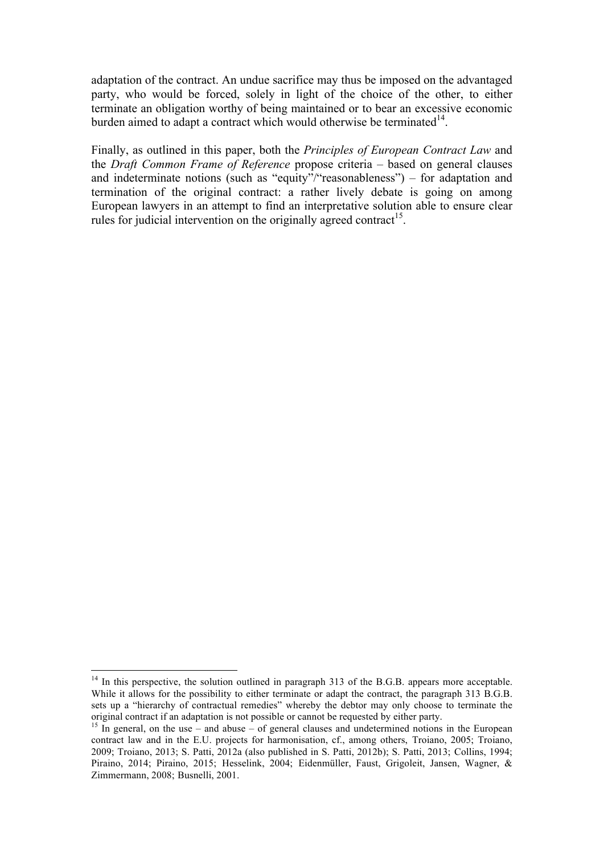adaptation of the contract. An undue sacrifice may thus be imposed on the advantaged party, who would be forced, solely in light of the choice of the other, to either terminate an obligation worthy of being maintained or to bear an excessive economic burden aimed to adapt a contract which would otherwise be terminated $14$ .

Finally, as outlined in this paper, both the *Principles of European Contract Law* and the *Draft Common Frame of Reference* propose criteria – based on general clauses and indeterminate notions (such as "equity"/"reasonableness") – for adaptation and termination of the original contract: a rather lively debate is going on among European lawyers in an attempt to find an interpretative solution able to ensure clear rules for judicial intervention on the originally agreed contract<sup>15</sup>.

<u> Andrew Maria (1989)</u>

 $14$  In this perspective, the solution outlined in paragraph 313 of the B.G.B. appears more acceptable. While it allows for the possibility to either terminate or adapt the contract, the paragraph 313 B.G.B. sets up a "hierarchy of contractual remedies" whereby the debtor may only choose to terminate the original contract if an adaptation is not possible or cannot be requested by either party.

<sup>&</sup>lt;sup>15</sup> In general, on the use – and abuse – of general clauses and undetermined notions in the European contract law and in the E.U. projects for harmonisation, cf., among others, Troiano, 2005; Troiano, 2009; Troiano, 2013; S. Patti, 2012a (also published in S. Patti, 2012b); S. Patti, 2013; Collins, 1994; Piraino, 2014; Piraino, 2015; Hesselink, 2004; Eidenmüller, Faust, Grigoleit, Jansen, Wagner, & Zimmermann, 2008; Busnelli, 2001.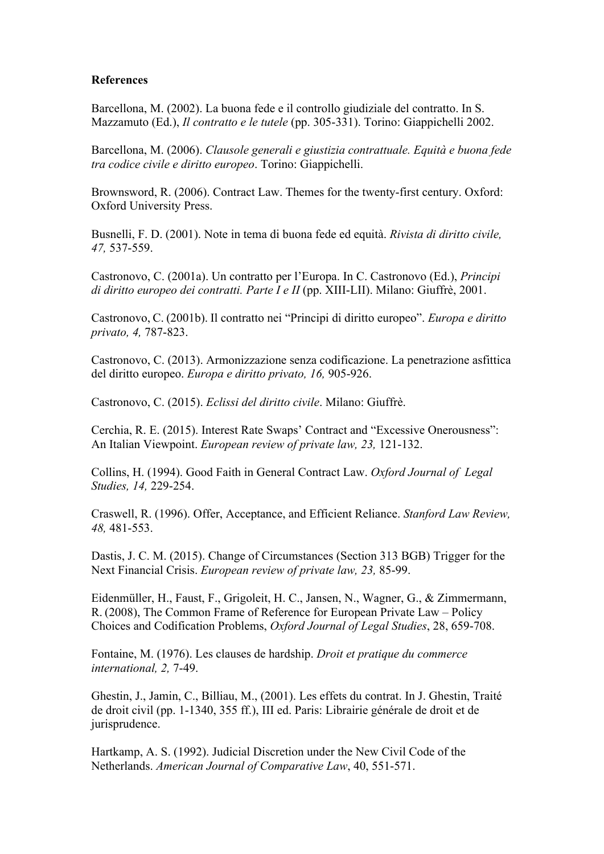#### **References**

Barcellona, M. (2002). La buona fede e il controllo giudiziale del contratto. In S. Mazzamuto (Ed.), *Il contratto e le tutele* (pp. 305-331). Torino: Giappichelli 2002.

Barcellona, M. (2006). *Clausole generali e giustizia contrattuale. Equità e buona fede tra codice civile e diritto europeo*. Torino: Giappichelli.

Brownsword, R. (2006). Contract Law. Themes for the twenty-first century. Oxford: Oxford University Press.

Busnelli, F. D. (2001). Note in tema di buona fede ed equità. *Rivista di diritto civile, 47,* 537-559.

Castronovo, C. (2001a). Un contratto per l'Europa. In C. Castronovo (Ed.), *Principi di diritto europeo dei contratti. Parte I e II* (pp. XIII-LII). Milano: Giuffrè, 2001.

Castronovo, C. (2001b). Il contratto nei "Principi di diritto europeo". *Europa e diritto privato, 4,* 787-823.

Castronovo, C. (2013). Armonizzazione senza codificazione. La penetrazione asfittica del diritto europeo. *Europa e diritto privato, 16,* 905-926.

Castronovo, C. (2015). *Eclissi del diritto civile*. Milano: Giuffrè.

Cerchia, R. E. (2015). Interest Rate Swaps' Contract and "Excessive Onerousness": An Italian Viewpoint. *European review of private law, 23,* 121-132.

Collins, H. (1994). Good Faith in General Contract Law. *Oxford Journal of Legal Studies, 14,* 229-254.

Craswell, R. (1996). Offer, Acceptance, and Efficient Reliance. *Stanford Law Review, 48,* 481-553.

Dastis, J. C. M. (2015). Change of Circumstances (Section 313 BGB) Trigger for the Next Financial Crisis. *European review of private law, 23,* 85-99.

Eidenmüller, H., Faust, F., Grigoleit, H. C., Jansen, N., Wagner, G., & Zimmermann, R. (2008), The Common Frame of Reference for European Private Law – Policy Choices and Codification Problems, *Oxford Journal of Legal Studies*, 28, 659-708.

Fontaine, M. (1976). Les clauses de hardship. *Droit et pratique du commerce international, 2,* 7-49.

Ghestin, J., Jamin, C., Billiau, M., (2001). Les effets du contrat. In J. Ghestin, Traité de droit civil (pp. 1-1340, 355 ff.), III ed. Paris: Librairie générale de droit et de jurisprudence.

Hartkamp, A. S. (1992). Judicial Discretion under the New Civil Code of the Netherlands. *American Journal of Comparative Law*, 40, 551-571.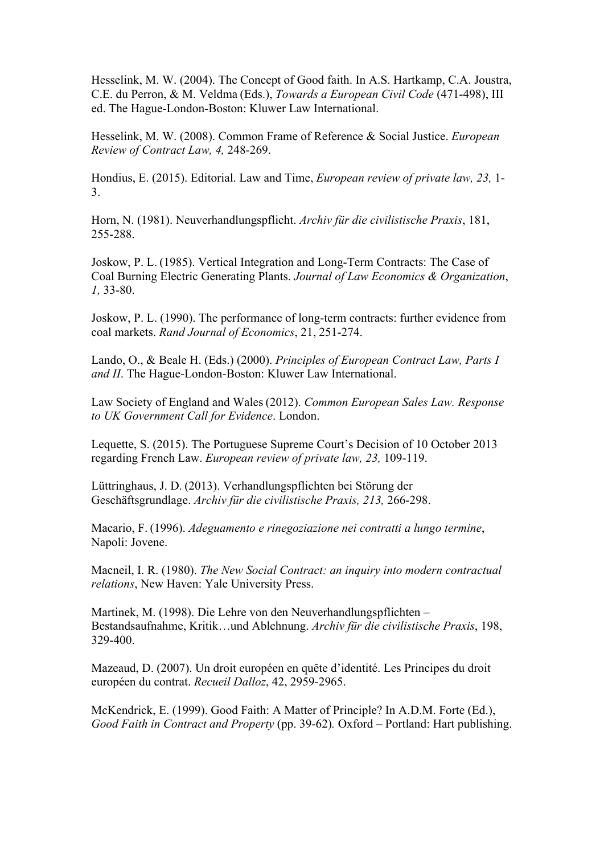Hesselink, M. W. (2004). The Concept of Good faith. In A.S. Hartkamp, C.A. Joustra, C.E. du Perron, & M. Veldma (Eds.), *Towards a European Civil Code* (471-498), III ed. The Hague-London-Boston: Kluwer Law International.

Hesselink, M. W. (2008). Common Frame of Reference & Social Justice. *European Review of Contract Law, 4,* 248-269.

Hondius, E. (2015). Editorial. Law and Time, *European review of private law, 23,* 1- 3.

Horn, N. (1981). Neuverhandlungspflicht. *Archiv für die civilistische Praxis*, 181, 255-288.

Joskow, P. L. (1985). Vertical Integration and Long-Term Contracts: The Case of Coal Burning Electric Generating Plants. *Journal of Law Economics & Organization*, *1,* 33-80.

Joskow, P. L. (1990). The performance of long-term contracts: further evidence from coal markets. *Rand Journal of Economics*, 21, 251-274.

Lando, O., & Beale H. (Eds.) (2000). *Principles of European Contract Law, Parts I and II*. The Hague-London-Boston: Kluwer Law International.

Law Society of England and Wales (2012). *Common European Sales Law. Response to UK Government Call for Evidence*. London.

Lequette, S. (2015). The Portuguese Supreme Court's Decision of 10 October 2013 regarding French Law. *European review of private law, 23,* 109-119.

Lüttringhaus, J. D. (2013). Verhandlungspflichten bei Störung der Geschäftsgrundlage. *Archiv für die civilistische Praxis, 213,* 266-298.

Macario, F. (1996). *Adeguamento e rinegoziazione nei contratti a lungo termine*, Napoli: Jovene.

Macneil, I. R. (1980). *The New Social Contract: an inquiry into modern contractual relations*, New Haven: Yale University Press.

Martinek, M. (1998). Die Lehre von den Neuverhandlungspflichten – Bestandsaufnahme, Kritik…und Ablehnung. *Archiv für die civilistische Praxis*, 198, 329-400.

Mazeaud, D. (2007). Un droit européen en quête d'identité. Les Principes du droit européen du contrat. *Recueil Dalloz*, 42, 2959-2965.

McKendrick, E. (1999). Good Faith: A Matter of Principle? In A.D.M. Forte (Ed.), *Good Faith in Contract and Property* (pp. 39-62)*.* Oxford – Portland: Hart publishing.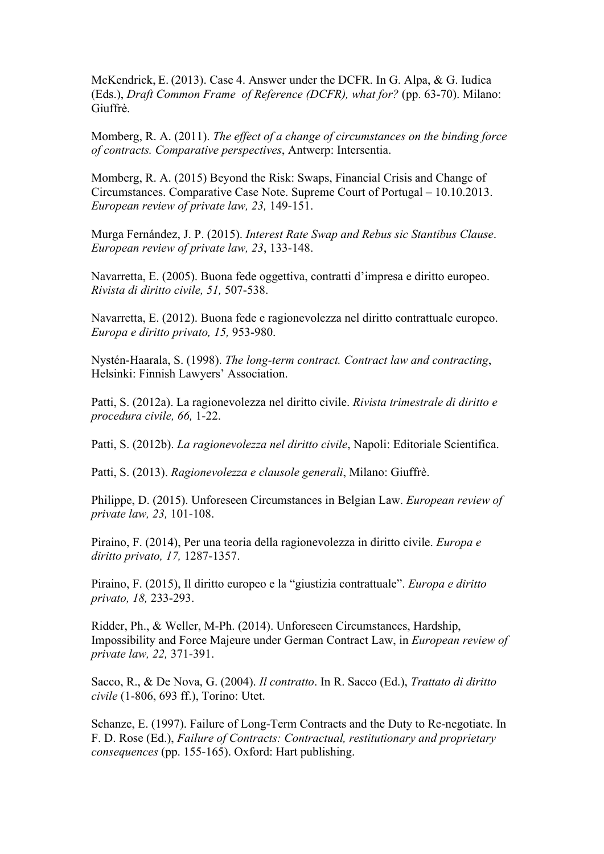McKendrick, E. (2013). Case 4. Answer under the DCFR. In G. Alpa, & G. Iudica (Eds.), *Draft Common Frame of Reference (DCFR), what for?* (pp. 63-70). Milano: Giuffrè.

Momberg, R. A. (2011). *The effect of a change of circumstances on the binding force of contracts. Comparative perspectives*, Antwerp: Intersentia.

Momberg, R. A. (2015) Beyond the Risk: Swaps, Financial Crisis and Change of Circumstances. Comparative Case Note. Supreme Court of Portugal – 10.10.2013. *European review of private law, 23,* 149-151.

Murga Fernández, J. P. (2015). *Interest Rate Swap and Rebus sic Stantibus Clause*. *European review of private law, 23*, 133-148.

Navarretta, E. (2005). Buona fede oggettiva, contratti d'impresa e diritto europeo. *Rivista di diritto civile, 51,* 507-538.

Navarretta, E. (2012). Buona fede e ragionevolezza nel diritto contrattuale europeo. *Europa e diritto privato, 15,* 953-980.

Nystén-Haarala, S. (1998). *The long-term contract. Contract law and contracting*, Helsinki: Finnish Lawyers' Association.

Patti, S. (2012a). La ragionevolezza nel diritto civile. *Rivista trimestrale di diritto e procedura civile, 66,* 1-22.

Patti, S. (2012b). *La ragionevolezza nel diritto civile*, Napoli: Editoriale Scientifica.

Patti, S. (2013). *Ragionevolezza e clausole generali*, Milano: Giuffrè.

Philippe, D. (2015). Unforeseen Circumstances in Belgian Law. *European review of private law, 23,* 101-108.

Piraino, F. (2014), Per una teoria della ragionevolezza in diritto civile. *Europa e diritto privato, 17,* 1287-1357.

Piraino, F. (2015), Il diritto europeo e la "giustizia contrattuale". *Europa e diritto privato, 18,* 233-293.

Ridder, Ph., & Weller, M-Ph. (2014). Unforeseen Circumstances, Hardship, Impossibility and Force Majeure under German Contract Law, in *European review of private law, 22,* 371-391.

Sacco, R., & De Nova, G. (2004). *Il contratto*. In R. Sacco (Ed.), *Trattato di diritto civile* (1-806, 693 ff.), Torino: Utet.

Schanze, E. (1997). Failure of Long-Term Contracts and the Duty to Re-negotiate. In F. D. Rose (Ed.), *Failure of Contracts: Contractual, restitutionary and proprietary consequences* (pp. 155-165). Oxford: Hart publishing.